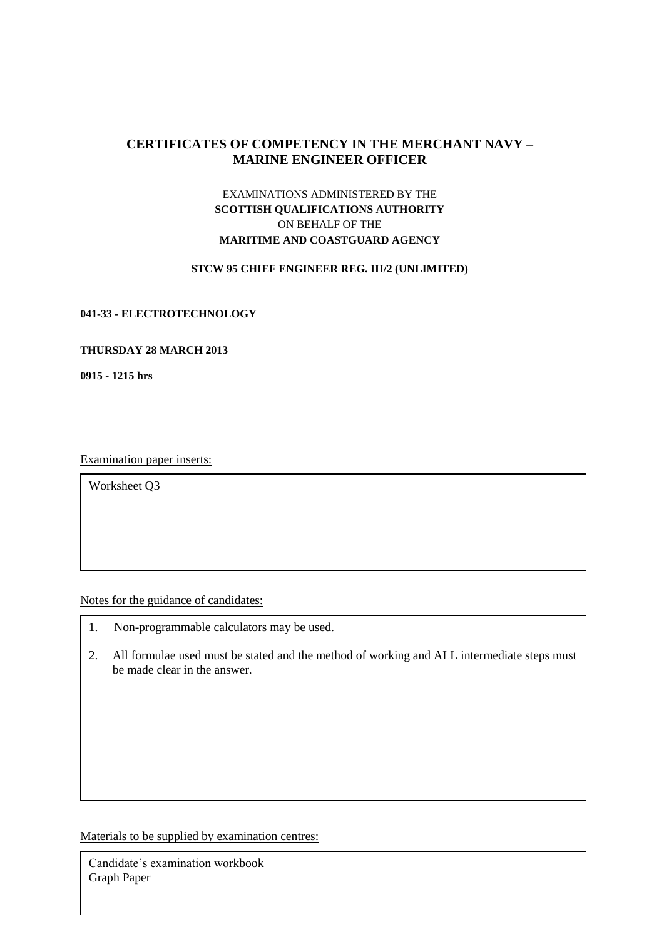# **CERTIFICATES OF COMPETENCY IN THE MERCHANT NAVY – MARINE ENGINEER OFFICER**

# EXAMINATIONS ADMINISTERED BY THE **SCOTTISH QUALIFICATIONS AUTHORITY** ON BEHALF OF THE **MARITIME AND COASTGUARD AGENCY**

### **STCW 95 CHIEF ENGINEER REG. III/2 (UNLIMITED)**

#### **041-33 - ELECTROTECHNOLOGY**

#### **THURSDAY 28 MARCH 2013**

**0915 - 1215 hrs**

Examination paper inserts:

Worksheet Q3

Notes for the guidance of candidates:

- 1. Non-programmable calculators may be used.
- 2. All formulae used must be stated and the method of working and ALL intermediate steps must be made clear in the answer.

Materials to be supplied by examination centres:

Candidate's examination workbook Graph Paper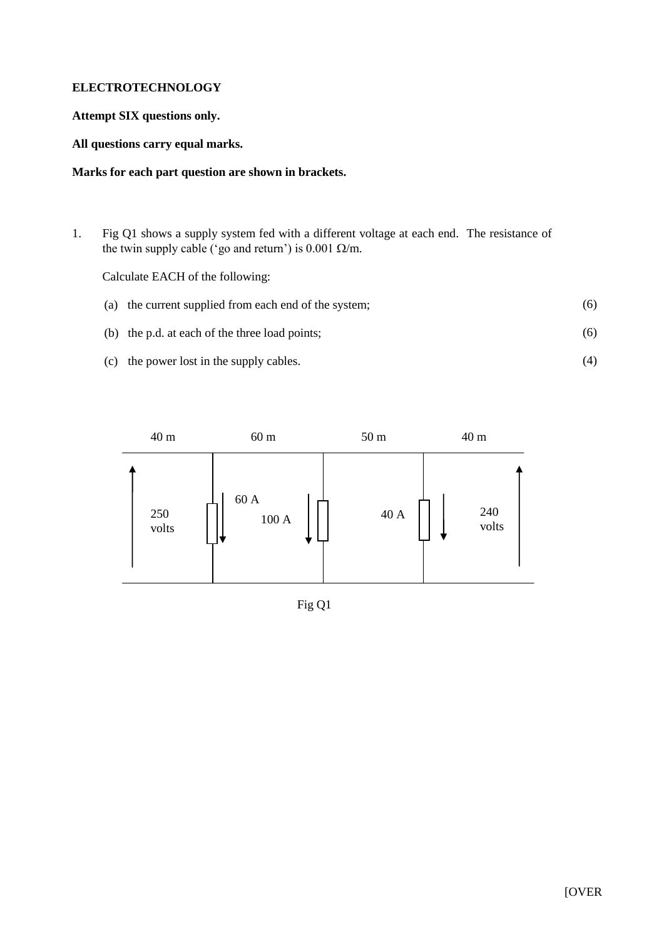## **ELECTROTECHNOLOGY**

**Attempt SIX questions only.**

**All questions carry equal marks.**

## **Marks for each part question are shown in brackets.**

1. Fig Q1 shows a supply system fed with a different voltage at each end. The resistance of the twin supply cable ('go and return') is 0.001  $\Omega/m$ .

Calculate EACH of the following:

| (a) the current supplied from each end of the system; |  |
|-------------------------------------------------------|--|
|                                                       |  |

- (b) the p.d. at each of the three load points; (6)
- (c) the power lost in the supply cables.



Fig Q1

(4)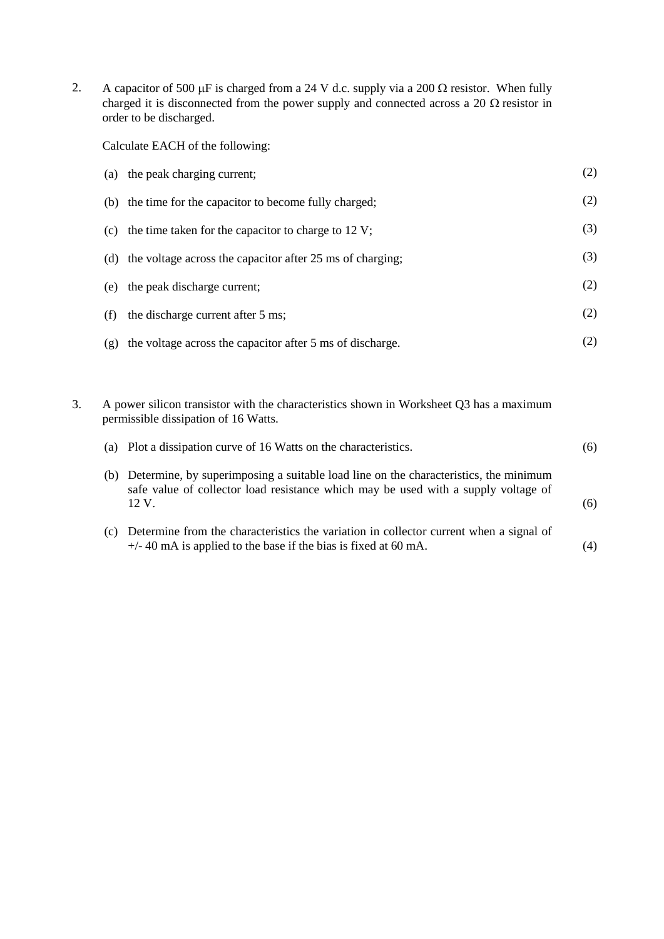2. A capacitor of 500  $\mu$ F is charged from a 24 V d.c. supply via a 200  $\Omega$  resistor. When fully charged it is disconnected from the power supply and connected across a 20  $\Omega$  resistor in order to be discharged.

Calculate EACH of the following:

|     | (a) the peak charging current;                                     | (2) |
|-----|--------------------------------------------------------------------|-----|
|     | (b) the time for the capacitor to become fully charged;            | (2) |
|     | (c) the time taken for the capacitor to charge to $12 \text{ V}$ ; | (3) |
|     | (d) the voltage across the capacitor after 25 ms of charging;      | (3) |
|     | (e) the peak discharge current;                                    | (2) |
| (f) | the discharge current after 5 ms;                                  | (2) |
| (g) | the voltage across the capacitor after 5 ms of discharge.          | (2) |
|     |                                                                    |     |

3. A power silicon transistor with the characteristics shown in Worksheet Q3 has a maximum permissible dissipation of 16 Watts.

|     | (a) Plot a dissipation curve of 16 Watts on the characteristics.                                                                                                                                   | (6) |
|-----|----------------------------------------------------------------------------------------------------------------------------------------------------------------------------------------------------|-----|
|     | (b) Determine, by superimposing a suitable load line on the characteristics, the minimum<br>safe value of collector load resistance which may be used with a supply voltage of<br>$12 \text{ V}$ . | (6) |
| (c) | Determine from the characteristics the variation in collector current when a signal of<br>$+/-$ 40 mA is applied to the base if the bias is fixed at 60 mA.                                        | .4) |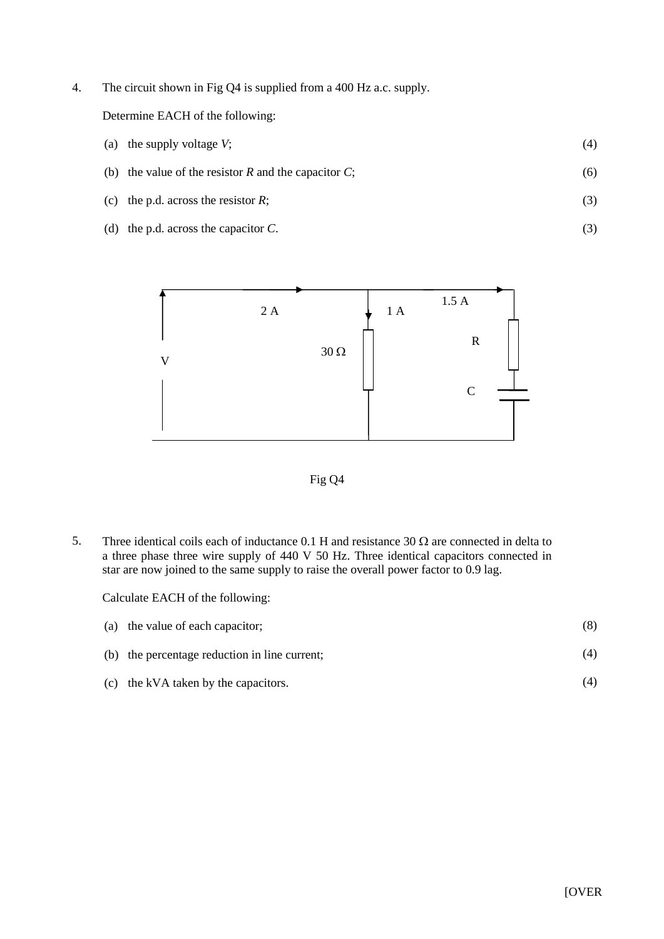4. The circuit shown in Fig Q4 is supplied from a 400 Hz a.c. supply.

Determine EACH of the following:

- (a) the supply voltage *V*; (4)
- (b) the value of the resistor *R* and the capacitor *C*; (6)
- (c) the p.d. across the resistor *R*; (3)
- (d) the p.d. across the capacitor *C*. (3)





5. Three identical coils each of inductance 0.1 H and resistance 30  $\Omega$  are connected in delta to a three phase three wire supply of 440 V 50 Hz. Three identical capacitors connected in star are now joined to the same supply to raise the overall power factor to 0.9 lag.

Calculate EACH of the following:

| (a) the value of each capacitor;              |  |
|-----------------------------------------------|--|
| (b) the percentage reduction in line current; |  |

(c) the kVA taken by the capacitors. (4)